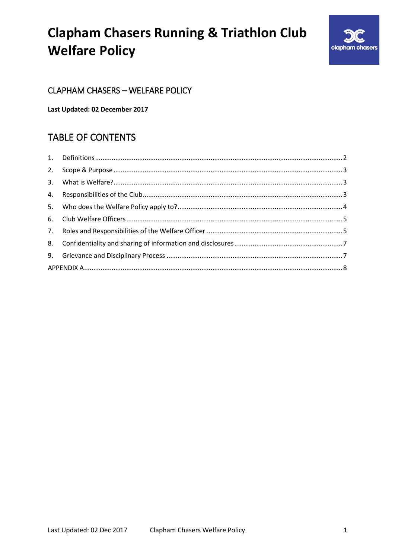

### **CLAPHAM CHASERS - WELFARE POLICY**

Last Updated: 02 December 2017

### **TABLE OF CONTENTS**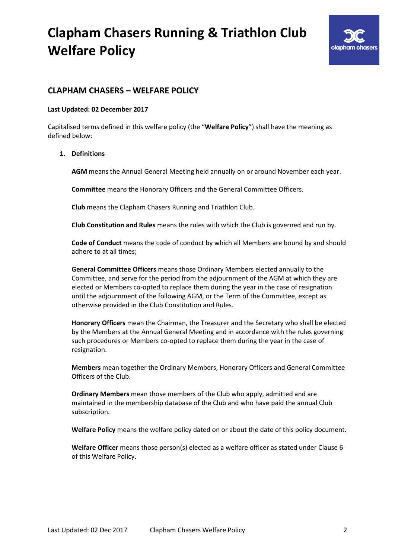

### **CLAPHAM CHASERS – WELFARE POLICY**

#### **Last Updated: 02 December 2017**

Capitalised terms defined in this welfare policy (the "**Welfare Policy**") shall have the meaning as defined below:

### <span id="page-1-0"></span>**1. Definitions**

**AGM** means the Annual General Meeting held annually on or around November each year.

**Committee** means the Honorary Officers and the General Committee Officers.

**Club** means the Clapham Chasers Running and Triathlon Club.

**Club Constitution and Rules** means the rules with which the Club is governed and run by.

**Code of Conduct** means the code of conduct by which all Members are bound by and should adhere to at all times;

**General Committee Officers** means those Ordinary Members elected annually to the Committee, and serve for the period from the adjournment of the AGM at which they are elected or Members co-opted to replace them during the year in the case of resignation until the adjournment of the following AGM, or the Term of the Committee, except as otherwise provided in the Club Constitution and Rules.

**Honorary Officers** mean the Chairman, the Treasurer and the Secretary who shall be elected by the Members at the Annual General Meeting and in accordance with the rules governing such procedures or Members co-opted to replace them during the year in the case of resignation.

**Members** mean together the Ordinary Members, Honorary Officers and General Committee Officers of the Club.

**Ordinary Members** mean those members of the Club who apply, admitted and are maintained in the membership database of the Club and who have paid the annual Club subscription.

**Welfare Policy** means the welfare policy dated on or about the date of this policy document.

**Welfare Officer** means those person(s) elected as a welfare officer as stated under Clause [6](#page-4-0) of this Welfare Policy.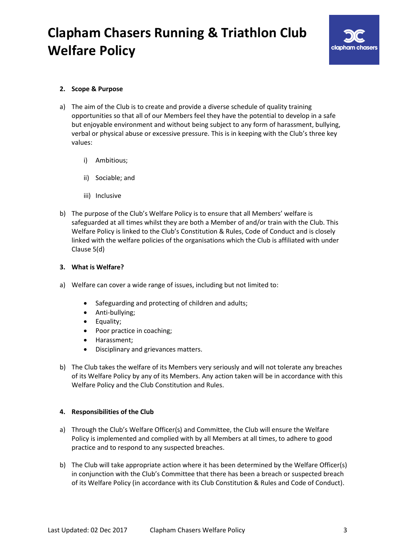

### <span id="page-2-0"></span>**2. Scope & Purpose**

- a) The aim of the Club is to create and provide a diverse schedule of quality training opportunities so that all of our Members feel they have the potential to develop in a safe but enjoyable environment and without being subject to any form of harassment, bullying, verbal or physical abuse or excessive pressure. This is in keeping with the Club's three key values:
	- i) Ambitious;
	- ii) Sociable; and
	- iii) Inclusive
- b) The purpose of the Club's Welfare Policy is to ensure that all Members' welfare is safeguarded at all times whilst they are both a Member of and/or train with the Club. This Welfare Policy is linked to the Club's Constitution & Rules, Code of Conduct and is closely linked with the welfare policies of the organisations which the Club is affiliated with under Clause 5(d)

### <span id="page-2-1"></span>**3. What is Welfare?**

- a) Welfare can cover a wide range of issues, including but not limited to:
	- Safeguarding and protecting of children and adults;
	- Anti-bullying;
	- Equality;
	- Poor practice in coaching;
	- Harassment:
	- Disciplinary and grievances matters.
- b) The Club takes the welfare of its Members very seriously and will not tolerate any breaches of its Welfare Policy by any of its Members. Any action taken will be in accordance with this Welfare Policy and the Club Constitution and Rules.

#### <span id="page-2-2"></span>**4. Responsibilities of the Club**

- a) Through the Club's Welfare Officer(s) and Committee, the Club will ensure the Welfare Policy is implemented and complied with by all Members at all times, to adhere to good practice and to respond to any suspected breaches.
- b) The Club will take appropriate action where it has been determined by the Welfare Officer(s) in conjunction with the Club's Committee that there has been a breach or suspected breach of its Welfare Policy (in accordance with its Club Constitution & Rules and Code of Conduct).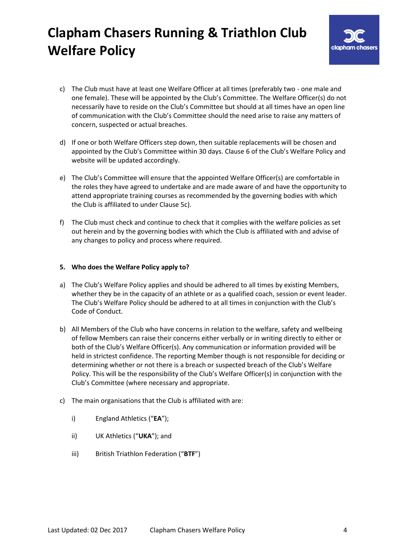

- c) The Club must have at least one Welfare Officer at all times (preferably two one male and one female). These will be appointed by the Club's Committee. The Welfare Officer(s) do not necessarily have to reside on the Club's Committee but should at all times have an open line of communication with the Club's Committee should the need arise to raise any matters of concern, suspected or actual breaches.
- d) If one or both Welfare Officers step down, then suitable replacements will be chosen and appointed by the Club's Committee within 30 days. Claus[e 6](#page-4-0) of the Club's Welfare Policy and website will be updated accordingly.
- e) The Club's Committee will ensure that the appointed Welfare Officer(s) are comfortable in the roles they have agreed to undertake and are made aware of and have the opportunity to attend appropriate training courses as recommended by the governing bodies with which the Club is affiliated to under Clause [5c\).](#page-3-1)
- f) The Club must check and continue to check that it complies with the welfare policies as set out herein and by the governing bodies with which the Club is affiliated with and advise of any changes to policy and process where required.

### <span id="page-3-0"></span>**5. Who does the Welfare Policy apply to?**

- a) The Club's Welfare Policy applies and should be adhered to all times by existing Members, whether they be in the capacity of an athlete or as a qualified coach, session or event leader. The Club's Welfare Policy should be adhered to at all times in conjunction with the Club's Code of Conduct.
- b) All Members of the Club who have concerns in relation to the welfare, safety and wellbeing of fellow Members can raise their concerns either verbally or in writing directly to either or both of the Club's Welfare Officer(s). Any communication or information provided will be held in strictest confidence. The reporting Member though is not responsible for deciding or determining whether or not there is a breach or suspected breach of the Club's Welfare Policy. This will be the responsibility of the Club's Welfare Officer(s) in conjunction with the Club's Committee (where necessary and appropriate.
- <span id="page-3-1"></span>c) The main organisations that the Club is affiliated with are:
	- i) England Athletics ("**EA**");
	- ii) UK Athletics ("**UKA**"); and
	- iii) British Triathlon Federation ("**BTF**")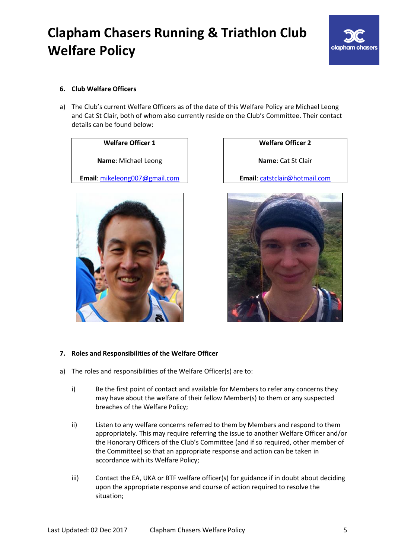

### <span id="page-4-0"></span>**6. Club Welfare Officers**

a) The Club's current Welfare Officers as of the date of this Welfare Policy are Michael Leong and Cat St Clair, both of whom also currently reside on the Club's Committee. Their contact details can be found below:

**Name**: Michael Leong **Name**: Cat St Clair

**Email**: [mikeleong007@gmail.com](mailto:mikeleong007@gmail.com) **Email**: [catstclair@hotmail.com](mailto:catstclair@hotmail.com)



**Welfare Officer 1 Welfare Officer 2**



#### <span id="page-4-1"></span>**7. Roles and Responsibilities of the Welfare Officer**

- a) The roles and responsibilities of the Welfare Officer(s) are to:
	- i) Be the first point of contact and available for Members to refer any concerns they may have about the welfare of their fellow Member(s) to them or any suspected breaches of the Welfare Policy;
	- ii) Listen to any welfare concerns referred to them by Members and respond to them appropriately. This may require referring the issue to another Welfare Officer and/or the Honorary Officers of the Club's Committee (and if so required, other member of the Committee) so that an appropriate response and action can be taken in accordance with its Welfare Policy;
	- iii) Contact the EA, UKA or BTF welfare officer(s) for guidance if in doubt about deciding upon the appropriate response and course of action required to resolve the situation;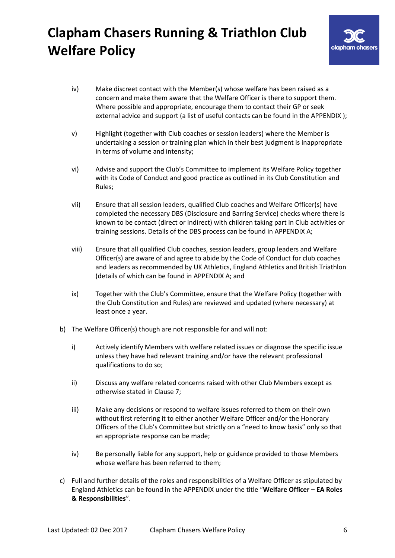

- iv) Make discreet contact with the Member(s) whose welfare has been raised as a concern and make them aware that the Welfare Officer is there to support them. Where possible and appropriate, encourage them to contact their GP or seek external advice and support (a list of useful contacts can be found in the APPENDIX);
- v) Highlight (together with Club coaches or session leaders) where the Member is undertaking a session or training plan which in their best judgment is inappropriate in terms of volume and intensity;
- vi) Advise and support the Club's Committee to implement its Welfare Policy together with its Code of Conduct and good practice as outlined in its Club Constitution and Rules;
- vii) Ensure that all session leaders, qualified Club coaches and Welfare Officer(s) have completed the necessary DBS (Disclosure and Barring Service) checks where there is known to be contact (direct or indirect) with children taking part in Club activities or training sessions. Details of the DBS process can be found in [APPENDIX A;](#page-7-0)
- viii) Ensure that all qualified Club coaches, session leaders, group leaders and Welfare Officer(s) are aware of and agree to abide by the Code of Conduct for club coaches and leaders as recommended by UK Athletics, England Athletics and British Triathlon (details of which can be found in [APPENDIX A;](#page-7-0) and
- ix) Together with the Club's Committee, ensure that the Welfare Policy (together with the Club Constitution and Rules) are reviewed and updated (where necessary) at least once a year.
- b) The Welfare Officer(s) though are not responsible for and will not:
	- i) Actively identify Members with welfare related issues or diagnose the specific issue unless they have had relevant training and/or have the relevant professional qualifications to do so;
	- ii) Discuss any welfare related concerns raised with other Club Members except as otherwise stated in Clause 7;
	- iii) Make any decisions or respond to welfare issues referred to them on their own without first referring it to either another Welfare Officer and/or the Honorary Officers of the Club's Committee but strictly on a "need to know basis" only so that an appropriate response can be made;
	- iv) Be personally liable for any support, help or guidance provided to those Members whose welfare has been referred to them;
- c) Full and further details of the roles and responsibilities of a Welfare Officer as stipulated by England Athletics can be found in the [APPENDIX](#page-7-0) under the title "**Welfare Officer – EA Roles & Responsibilities**".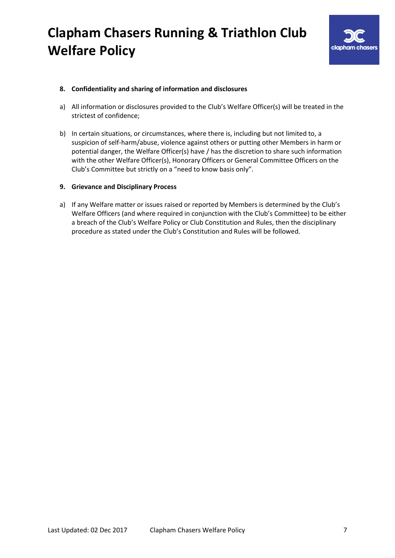

### <span id="page-6-0"></span>**8. Confidentiality and sharing of information and disclosures**

- a) All information or disclosures provided to the Club's Welfare Officer(s) will be treated in the strictest of confidence;
- b) In certain situations, or circumstances, where there is, including but not limited to, a suspicion of self-harm/abuse, violence against others or putting other Members in harm or potential danger, the Welfare Officer(s) have / has the discretion to share such information with the other Welfare Officer(s), Honorary Officers or General Committee Officers on the Club's Committee but strictly on a "need to know basis only".

### <span id="page-6-1"></span>**9. Grievance and Disciplinary Process**

a) If any Welfare matter or issues raised or reported by Members is determined by the Club's Welfare Officers (and where required in conjunction with the Club's Committee) to be either a breach of the Club's Welfare Policy or Club Constitution and Rules, then the disciplinary procedure as stated under the Club's Constitution and Rules will be followed.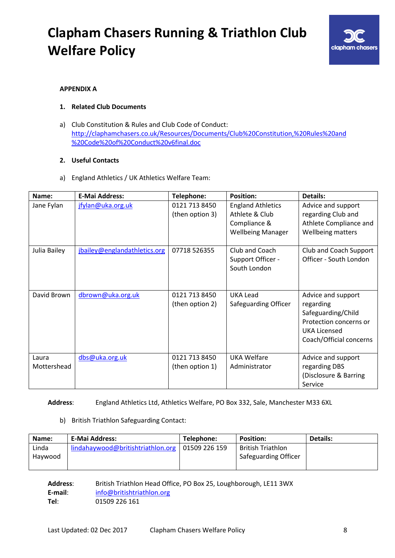

### <span id="page-7-0"></span>**APPENDIX A**

### **1. Related Club Documents**

a) Club Constitution & Rules and Club Code of Conduct: [http://claphamchasers.co.uk/Resources/Documents/Club%20Constitution,%20Rules%20and](http://claphamchasers.co.uk/Resources/Documents/Club%20Constitution,%20Rules%20and%20Code%20of%20Conduct%20v6final.doc) [%20Code%20of%20Conduct%20v6final.doc](http://claphamchasers.co.uk/Resources/Documents/Club%20Constitution,%20Rules%20and%20Code%20of%20Conduct%20v6final.doc)

#### **2. Useful Contacts**

a) England Athletics / UK Athletics Welfare Team:

| Name:                | <b>E-Mai Address:</b>        | Telephone:                       | <b>Position:</b>                                                                       | Details:                                                                                                                          |
|----------------------|------------------------------|----------------------------------|----------------------------------------------------------------------------------------|-----------------------------------------------------------------------------------------------------------------------------------|
| Jane Fylan           | jfylan@uka.org.uk            | 0121 713 8450<br>(then option 3) | <b>England Athletics</b><br>Athlete & Club<br>Compliance &<br><b>Wellbeing Manager</b> | Advice and support<br>regarding Club and<br>Athlete Compliance and<br>Wellbeing matters                                           |
| Julia Bailey         | jbailey@englandathletics.org | 07718 526355                     | Club and Coach<br>Support Officer -<br>South London                                    | Club and Coach Support<br>Officer - South London                                                                                  |
| David Brown          | dbrown@uka.org.uk            | 0121 713 8450<br>(then option 2) | <b>UKA Lead</b><br>Safeguarding Officer                                                | Advice and support<br>regarding<br>Safeguarding/Child<br>Protection concerns or<br><b>UKA Licensed</b><br>Coach/Official concerns |
| Laura<br>Mottershead | dbs@uka.org.uk               | 0121 713 8450<br>(then option 1) | <b>UKA Welfare</b><br>Administrator                                                    | Advice and support<br>regarding DBS<br>(Disclosure & Barring<br>Service                                                           |

**Address**: England Athletics Ltd, Athletics Welfare, PO Box 332, Sale, Manchester M33 6XL

### b) British Triathlon Safeguarding Contact:

| Name:   | <b>E-Mai Address:</b>             | Telephone:    | <b>Position:</b>     | <b>Details:</b> |
|---------|-----------------------------------|---------------|----------------------|-----------------|
| Linda   | lindahaywood@britishtriathlon.org | 01509 226 159 | British Triathlon    |                 |
| Havwood |                                   |               | Safeguarding Officer |                 |
|         |                                   |               |                      |                 |

**Address**: British Triathlon Head Office, PO Box 25, Loughborough, LE11 3WX **E-mail**: [info@britishtriathlon.org](mailto:info@britishtriathlon.org) **Tel**: 01509 226 161